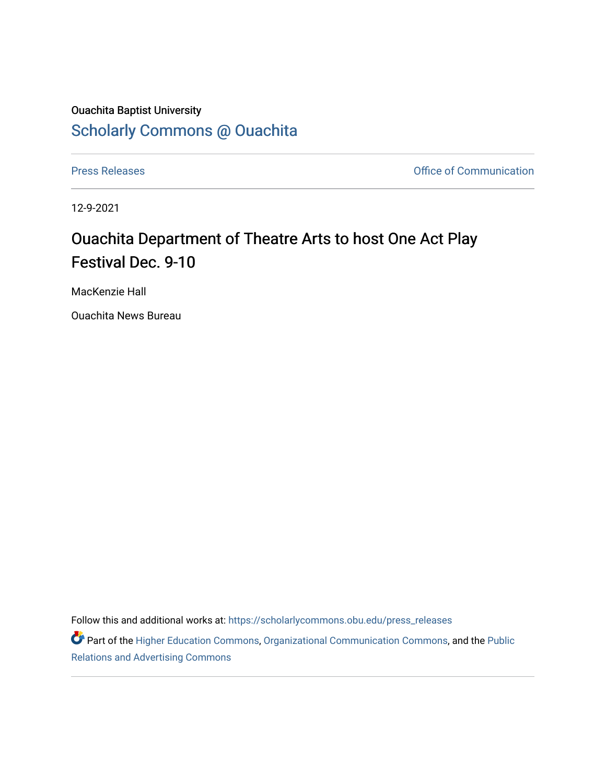## Ouachita Baptist University [Scholarly Commons @ Ouachita](https://scholarlycommons.obu.edu/)

[Press Releases](https://scholarlycommons.obu.edu/press_releases) **Press Releases Communication** 

12-9-2021

## Ouachita Department of Theatre Arts to host One Act Play Festival Dec. 9-10

MacKenzie Hall

Ouachita News Bureau

Follow this and additional works at: [https://scholarlycommons.obu.edu/press\\_releases](https://scholarlycommons.obu.edu/press_releases?utm_source=scholarlycommons.obu.edu%2Fpress_releases%2F1046&utm_medium=PDF&utm_campaign=PDFCoverPages)

Part of the [Higher Education Commons,](http://network.bepress.com/hgg/discipline/1245?utm_source=scholarlycommons.obu.edu%2Fpress_releases%2F1046&utm_medium=PDF&utm_campaign=PDFCoverPages) [Organizational Communication Commons,](http://network.bepress.com/hgg/discipline/335?utm_source=scholarlycommons.obu.edu%2Fpress_releases%2F1046&utm_medium=PDF&utm_campaign=PDFCoverPages) and the [Public](http://network.bepress.com/hgg/discipline/336?utm_source=scholarlycommons.obu.edu%2Fpress_releases%2F1046&utm_medium=PDF&utm_campaign=PDFCoverPages) [Relations and Advertising Commons](http://network.bepress.com/hgg/discipline/336?utm_source=scholarlycommons.obu.edu%2Fpress_releases%2F1046&utm_medium=PDF&utm_campaign=PDFCoverPages)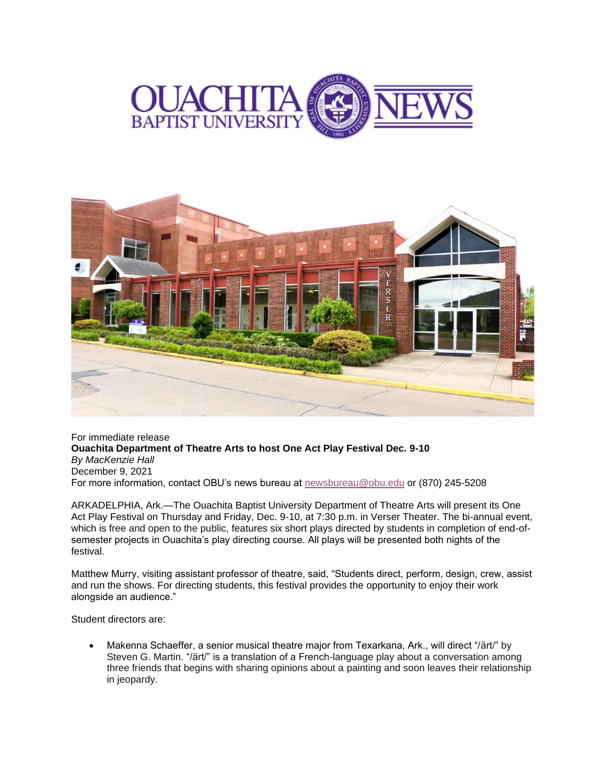



For immediate release **Ouachita Department of Theatre Arts to host One Act Play Festival Dec. 9-10** *By MacKenzie Hall* December 9, 2021 For more information, contact OBU's news bureau at [newsbureau@obu.edu](mailto:newsbureau@obu.edu) or (870) 245-5208

ARKADELPHIA, Ark.—The Ouachita Baptist University Department of Theatre Arts will present its One Act Play Festival on Thursday and Friday, Dec. 9-10, at 7:30 p.m. in Verser Theater. The bi-annual event, which is free and open to the public, features six short plays directed by students in completion of end-ofsemester projects in Ouachita's play directing course. All plays will be presented both nights of the festival.

Matthew Murry, visiting assistant professor of theatre, said, "Students direct, perform, design, crew, assist and run the shows. For directing students, this festival provides the opportunity to enjoy their work alongside an audience."

Student directors are:

• Makenna Schaeffer, a senior musical theatre major from Texarkana, Ark., will direct "/ärt/" by Steven G. Martin. "/ärt/" is a translation of a French-language play about a conversation among three friends that begins with sharing opinions about a painting and soon leaves their relationship in jeopardy.